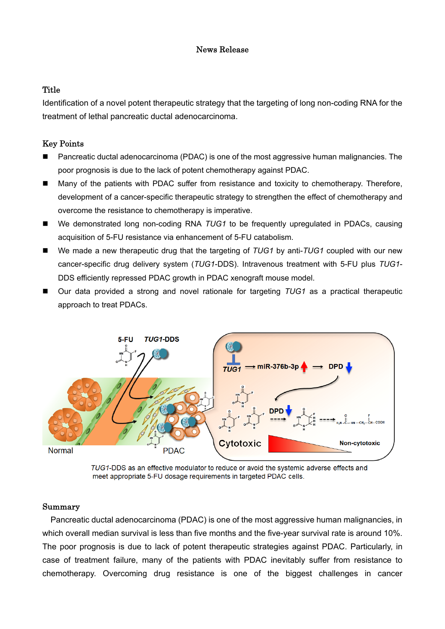## News Release

# **Title**

Identification of a novel potent therapeutic strategy that the targeting of long non-coding RNA for the treatment of lethal pancreatic ductal adenocarcinoma.

## Key Points

- Pancreatic ductal adenocarcinoma (PDAC) is one of the most aggressive human malignancies. The poor prognosis is due to the lack of potent chemotherapy against PDAC.
- Many of the patients with PDAC suffer from resistance and toxicity to chemotherapy. Therefore, development of a cancer-specific therapeutic strategy to strengthen the effect of chemotherapy and overcome the resistance to chemotherapy is imperative.
- We demonstrated long non-coding RNA TUG1 to be frequently upregulated in PDACs, causing acquisition of 5-FU resistance via enhancement of 5-FU catabolism.
- We made a new therapeutic drug that the targeting of *TUG1* by anti-*TUG1* coupled with our new cancer-specific drug delivery system (*TUG1*-DDS). Intravenous treatment with 5-FU plus *TUG1*- DDS efficiently repressed PDAC growth in PDAC xenograft mouse model.
- Our data provided a strong and novel rationale for targeting *TUG1* as a practical therapeutic approach to treat PDACs.



TUG1-DDS as an effective modulator to reduce or avoid the systemic adverse effects and meet appropriate 5-FU dosage requirements in targeted PDAC cells.

### Summary

Pancreatic ductal adenocarcinoma (PDAC) is one of the most aggressive human malignancies, in which overall median survival is less than five months and the five-year survival rate is around 10%. The poor prognosis is due to lack of potent therapeutic strategies against PDAC. Particularly, in case of treatment failure, many of the patients with PDAC inevitably suffer from resistance to chemotherapy. Overcoming drug resistance is one of the biggest challenges in cancer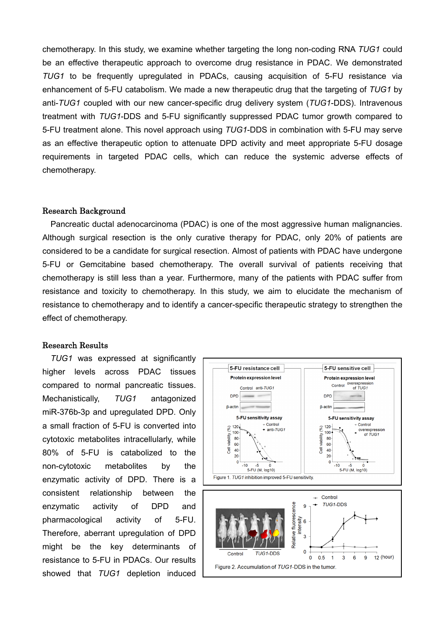chemotherapy. In this study, we examine whether targeting the long non-coding RNA *TUG1* could be an effective therapeutic approach to overcome drug resistance in PDAC. We demonstrated *TUG1* to be frequently upregulated in PDACs, causing acquisition of 5-FU resistance via enhancement of 5-FU catabolism. We made a new therapeutic drug that the targeting of *TUG1* by anti-*TUG1* coupled with our new cancer-specific drug delivery system (*TUG1*-DDS). Intravenous treatment with *TUG1*-DDS and 5-FU significantly suppressed PDAC tumor growth compared to 5-FU treatment alone. This novel approach using *TUG1*-DDS in combination with 5-FU may serve as an effective therapeutic option to attenuate DPD activity and meet appropriate 5-FU dosage requirements in targeted PDAC cells, which can reduce the systemic adverse effects of chemotherapy.

#### Research Background

Pancreatic ductal adenocarcinoma (PDAC) is one of the most aggressive human malignancies. Although surgical resection is the only curative therapy for PDAC, only 20% of patients are considered to be a candidate for surgical resection. Almost of patients with PDAC have undergone 5-FU or Gemcitabine based chemotherapy. The overall survival of patients receiving that chemotherapy is still less than a year. Furthermore, many of the patients with PDAC suffer from resistance and toxicity to chemotherapy. In this study, we aim to elucidate the mechanism of resistance to chemotherapy and to identify a cancer-specific therapeutic strategy to strengthen the effect of chemotherapy.

#### Research Results

*TUG1* was expressed at significantly higher levels across PDAC tissues compared to normal pancreatic tissues. Mechanistically, *TUG1* antagonized miR-376b-3p and upregulated DPD. Only a small fraction of 5-FU is converted into cytotoxic metabolites intracellularly, while 80% of 5-FU is catabolized to the non-cytotoxic metabolites by the enzymatic activity of DPD. There is a consistent relationship between the enzymatic activity of DPD and pharmacological activity of 5-FU. Therefore, aberrant upregulation of DPD might be the key determinants of resistance to 5-FU in PDACs. Our results showed that *TUG1* depletion induced

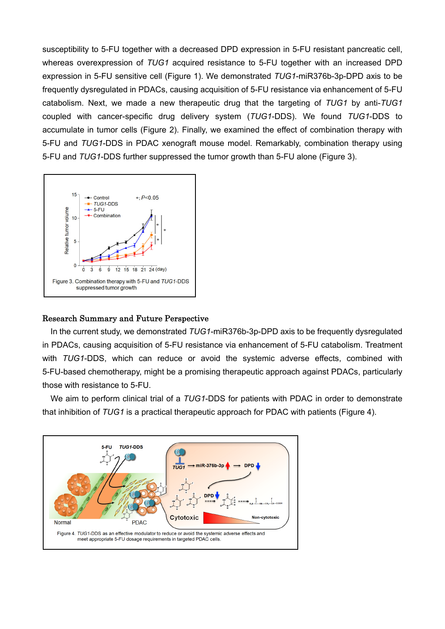susceptibility to 5-FU together with a decreased DPD expression in 5-FU resistant pancreatic cell, whereas overexpression of *TUG1* acquired resistance to 5-FU together with an increased DPD expression in 5-FU sensitive cell (Figure 1). We demonstrated *TUG1*-miR376b-3p-DPD axis to be frequently dysregulated in PDACs, causing acquisition of 5-FU resistance via enhancement of 5-FU catabolism. Next, we made a new therapeutic drug that the targeting of *TUG1* by anti-*TUG1* coupled with cancer-specific drug delivery system (*TUG1*-DDS). We found *TUG1*-DDS to accumulate in tumor cells (Figure 2). Finally, we examined the effect of combination therapy with 5-FU and *TUG1*-DDS in PDAC xenograft mouse model. Remarkably, combination therapy using 5-FU and *TUG1*-DDS further suppressed the tumor growth than 5-FU alone (Figure 3).



## Research Summary and Future Perspective

In the current study, we demonstrated *TUG1*-miR376b-3p-DPD axis to be frequently dysregulated in PDACs, causing acquisition of 5-FU resistance via enhancement of 5-FU catabolism. Treatment with *TUG1*-DDS, which can reduce or avoid the systemic adverse effects, combined with 5-FU-based chemotherapy, might be a promising therapeutic approach against PDACs, particularly those with resistance to 5-FU.

We aim to perform clinical trial of a *TUG1*-DDS for patients with PDAC in order to demonstrate that inhibition of *TUG1* is a practical therapeutic approach for PDAC with patients (Figure 4).